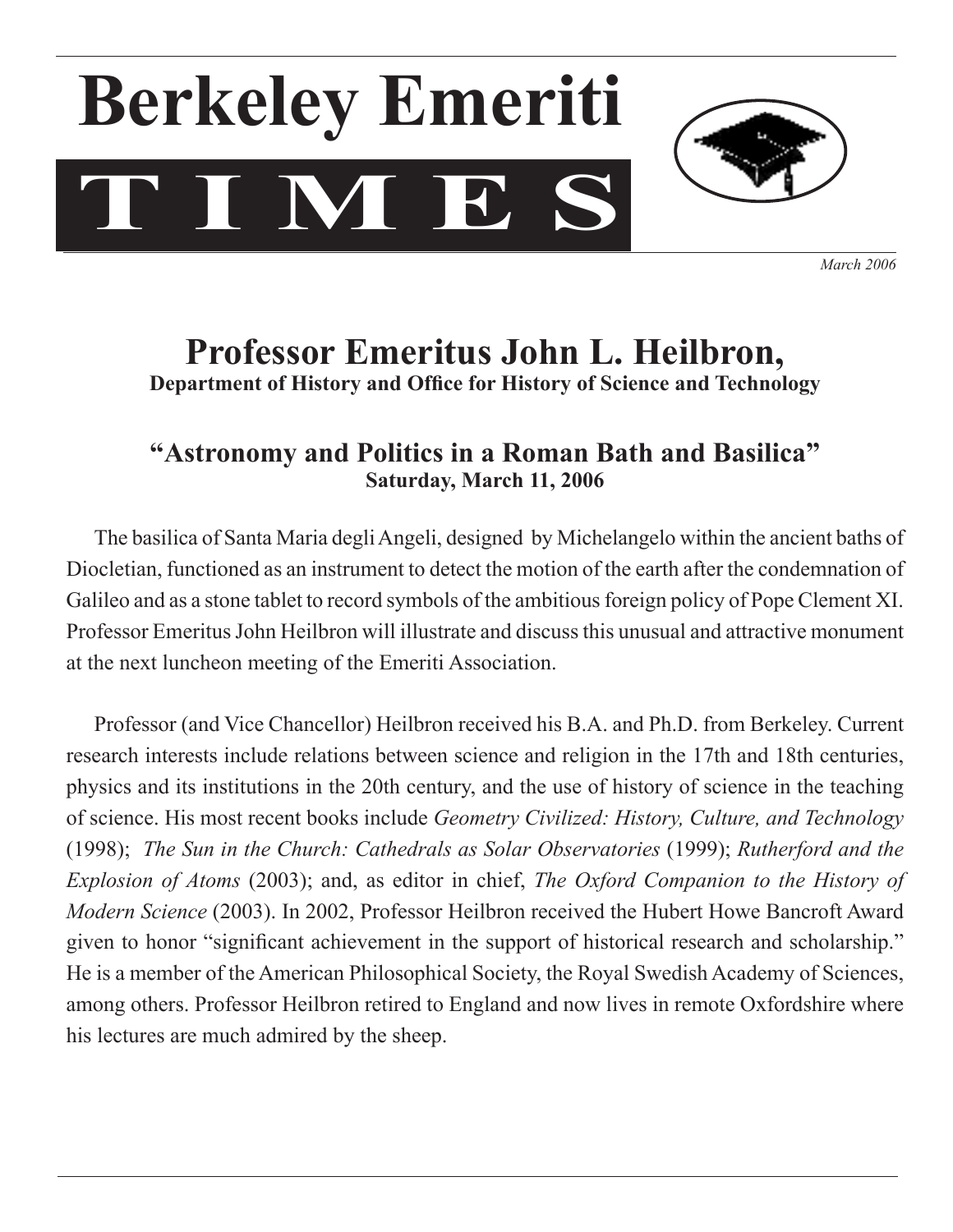# **T I M E S Berkeley Emeriti**



*March 2006*

## **Professor Emeritus John L. Heilbron, Department of History and Office for History of Science and Technology**

### **"Astronomy and Politics in a Roman Bath and Basilica" Saturday, March 11, 2006**

The basilica of Santa Maria degli Angeli, designed by Michelangelo within the ancient baths of Diocletian, functioned as an instrument to detect the motion of the earth after the condemnation of Galileo and as a stone tablet to record symbols of the ambitious foreign policy of Pope Clement XI. Professor Emeritus John Heilbron will illustrate and discuss this unusual and attractive monument at the next luncheon meeting of the Emeriti Association.

Professor (and Vice Chancellor) Heilbron received his B.A. and Ph.D. from Berkeley. Current research interests include relations between science and religion in the 17th and 18th centuries, physics and its institutions in the 20th century, and the use of history of science in the teaching of science. His most recent books include *Geometry Civilized: History, Culture, and Technology*  (1998); *The Sun in the Church: Cathedrals as Solar Observatories* (1999); *Rutherford and the Explosion of Atoms* (2003); and, as editor in chief, *The Oxford Companion to the History of Modern Science* (2003). In 2002, Professor Heilbron received the Hubert Howe Bancroft Award given to honor "significant achievement in the support of historical research and scholarship." He is a member of the American Philosophical Society, the Royal Swedish Academy of Sciences, among others. Professor Heilbron retired to England and now lives in remote Oxfordshire where his lectures are much admired by the sheep.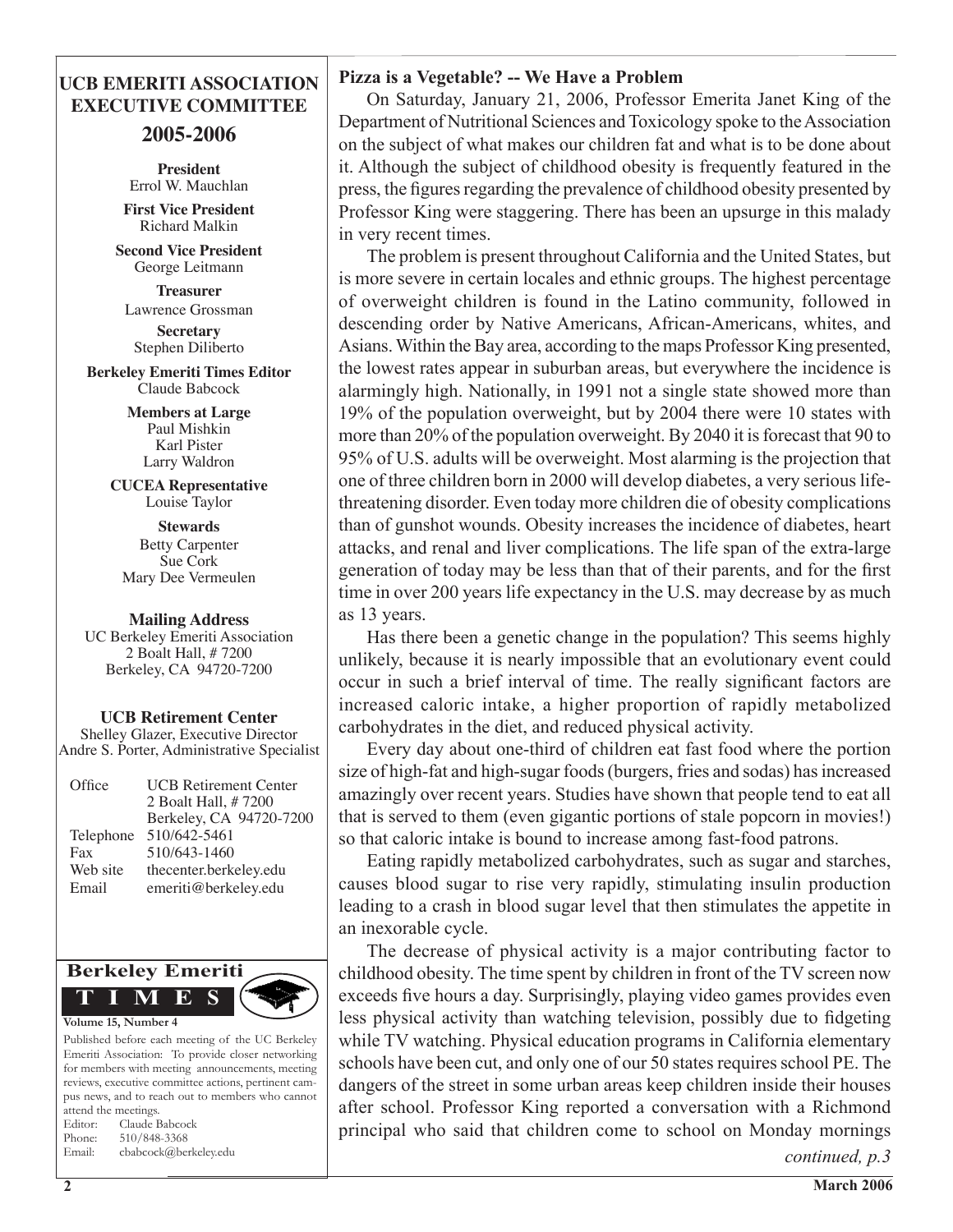#### **UCB EMERITI ASSOCIATION EXECUTIVE COMMITTEE**

#### **2005-2006**

**President** Errol W. Mauchlan **First Vice President** Richard Malkin

**Second Vice President** George Leitmann

**Treasurer**  Lawrence Grossman

**Secretary**  Stephen Diliberto

**Berkeley Emeriti Times Editor** Claude Babcock

> **Members at Large** Paul Mishkin Karl Pister Larry Waldron

**CUCEA Representative** Louise Taylor

**Stewards** Betty Carpenter Sue Cork Mary Dee Vermeulen

#### **Mailing Address**

UC Berkeley Emeriti Association 2 Boalt Hall, # 7200 Berkeley, CA 94720-7200

**UCB Retirement Center**

Shelley Glazer, Executive Director Andre S. Porter, Administrative Specialist

| Office    | <b>UCB</b> Retirement Center<br>2 Boalt Hall, #7200 |
|-----------|-----------------------------------------------------|
|           | Berkeley, CA 94720-7200                             |
| Telephone | 510/642-5461                                        |
| Fax       | 510/643-1460                                        |
| Web site  | thecenter.berkeley.edu                              |
| Email     | emeriti@berkeley.edu                                |



Published before each meeting of the UC Berkeley Emeriti Association: To provide closer networking for members with meeting announcements, meeting reviews, executive committee actions, pertinent campus news, and to reach out to members who cannot attend the meetings. Editor: Claude Babcock Phone: 510/848-3368 Email: cbabcock@berkeley.edu

#### **Pizza is a Vegetable? -- We Have a Problem**

 On Saturday, January 21, 2006, Professor Emerita Janet King of the Department of Nutritional Sciences and Toxicology spoke to the Association on the subject of what makes our children fat and what is to be done about it. Although the subject of childhood obesity is frequently featured in the press, the figures regarding the prevalence of childhood obesity presented by Professor King were staggering. There has been an upsurge in this malady in very recent times.

 The problem is present throughout California and the United States, but is more severe in certain locales and ethnic groups. The highest percentage of overweight children is found in the Latino community, followed in descending order by Native Americans, African-Americans, whites, and Asians.Within theBay area, according to the maps Professor King presented, the lowest rates appear in suburban areas, but everywhere the incidence is alarmingly high. Nationally, in 1991 not a single state showed more than 19% of the population overweight, but by 2004 there were 10 states with more than 20% of the population overweight. By 2040 it is forecast that 90 to 95% of U.S. adults will be overweight. Most alarming is the projection that one of three children born in 2000 will develop diabetes, a very serious lifethreatening disorder. Even today more children die of obesity complications than of gunshot wounds. Obesity increases the incidence of diabetes, heart attacks, and renal and liver complications. The life span of the extra-large generation of today may be less than that of their parents, and for the first time in over 200 years life expectancy in the U.S. may decrease by as much as 13 years.

 Has there been a genetic change in the population? This seems highly unlikely, because it is nearly impossible that an evolutionary event could occur in such a brief interval of time. The really significant factors are increased caloric intake, a higher proportion of rapidly metabolized carbohydrates in the diet, and reduced physical activity.

 Every day about one-third of children eat fast food where the portion size of high-fat and high-sugar foods(burgers, fries and sodas) hasincreased amazingly over recent years. Studies have shown that people tend to eat all that is served to them (even gigantic portions of stale popcorn in movies!) so that caloric intake is bound to increase among fast-food patrons.

 Eating rapidly metabolized carbohydrates, such as sugar and starches, causes blood sugar to rise very rapidly, stimulating insulin production leading to a crash in blood sugar level that then stimulates the appetite in an inexorable cycle.

 The decrease of physical activity is a major contributing factor to childhood obesity. The time spent by children in front of the TV screen now exceeds five hours a day. Surprisingly, playing video games provides even less physical activity than watching television, possibly due to fidgeting while TV watching. Physical education programs in California elementary schools have been cut, and only one of our 50 states requires school PE. The dangers of the street in some urban areas keep children inside their houses after school. Professor King reported a conversation with a Richmond principal who said that children come to school on Monday mornings

*continued, p.3*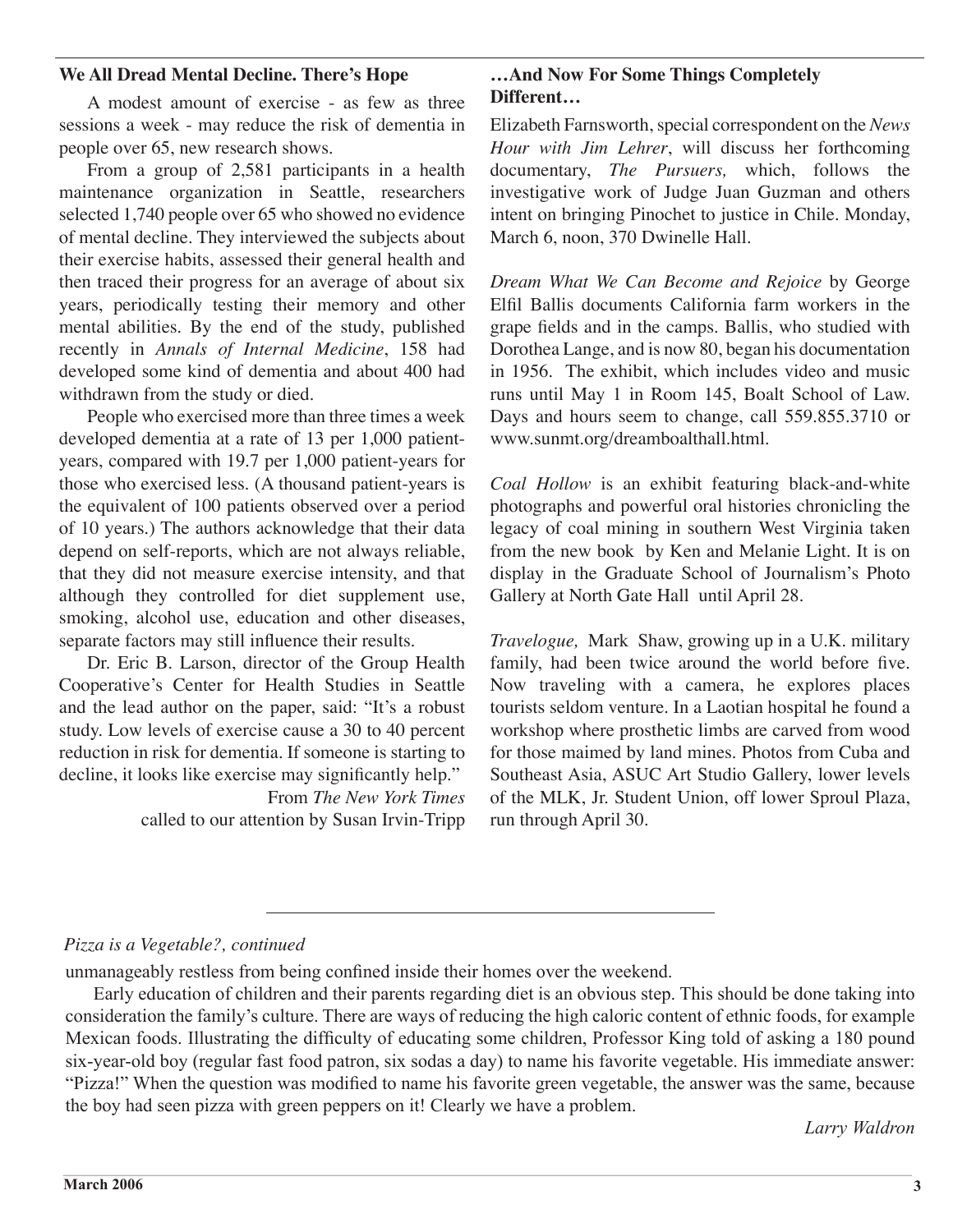#### **We All Dread Mental Decline. There's Hope**

A modest amount of exercise - as few as three sessions a week - may reduce the risk of dementia in people over 65, new research shows.

From a group of 2,581 participants in a health maintenance organization in Seattle, researchers selected 1,740 people over 65 who showed no evidence of mental decline. They interviewed the subjects about their exercise habits, assessed their general health and then traced their progress for an average of about six years, periodically testing their memory and other mental abilities. By the end of the study, published recently in *Annals of Internal Medicine*, 158 had developed some kind of dementia and about 400 had withdrawn from the study or died.

People who exercised more than three times a week developed dementia at a rate of 13 per 1,000 patientyears, compared with 19.7 per 1,000 patient-years for those who exercised less. (A thousand patient-years is the equivalent of 100 patients observed over a period of 10 years.) The authors acknowledge that their data depend on self-reports, which are not always reliable, that they did not measure exercise intensity, and that although they controlled for diet supplement use, smoking, alcohol use, education and other diseases, separate factors may still influence their results.

Dr. Eric B. Larson, director of the Group Health Cooperative's Center for Health Studies in Seattle and the lead author on the paper, said: "It's a robust study. Low levels of exercise cause a 30 to 40 percent reduction in risk for dementia. If someone is starting to decline, it looks like exercise may significantly help."

> From *The New York Times* called to our attention by Susan Irvin-Tripp

#### **…And Now For Some Things Completely Different…**

Elizabeth Farnsworth, special correspondent on the *News Hour with Jim Lehrer*, will discuss her forthcoming documentary, *The Pursuers,* which, follows the investigative work of Judge Juan Guzman and others intent on bringing Pinochet to justice in Chile. Monday, March 6, noon, 370 Dwinelle Hall.

*Dream What We Can Become and Rejoice* by George Elfil Ballis documents California farm workers in the grape fields and in the camps. Ballis, who studied with Dorothea Lange, and is now 80, began his documentation in 1956. The exhibit, which includes video and music runs until May 1 in Room 145, Boalt School of Law. Days and hours seem to change, call 559.855.3710 or www.sunmt.org/dreamboalthall.html.

*Coal Hollow* is an exhibit featuring black-and-white photographs and powerful oral histories chronicling the legacy of coal mining in southern West Virginia taken from the new book by Ken and Melanie Light. It is on display in the Graduate School of Journalism's Photo Gallery at North Gate Hall until April 28.

*Travelogue,* Mark Shaw, growing up in a U.K. military family, had been twice around the world before five. Now traveling with a camera, he explores places tourists seldom venture. In a Laotian hospital he found a workshop where prosthetic limbs are carved from wood for those maimed by land mines. Photos from Cuba and Southeast Asia, ASUC Art Studio Gallery, lower levels of the MLK, Jr. Student Union, off lower Sproul Plaza, run through April 30.

#### *Pizza is a Vegetable?, continued*

unmanageably restless from being confined inside their homes over the weekend.

 Early education of children and their parents regarding diet is an obvious step. This should be done taking into consideration the family's culture. There are ways of reducing the high caloric content of ethnic foods, for example Mexican foods. Illustrating the difficulty of educating some children, Professor King told of asking a 180 pound six-year-old boy (regular fast food patron, six sodas a day) to name his favorite vegetable. His immediate answer: "Pizza!" When the question was modified to name his favorite green vegetable, the answer was the same, because the boy had seen pizza with green peppers on it! Clearly we have a problem.

 *Larry Waldron*